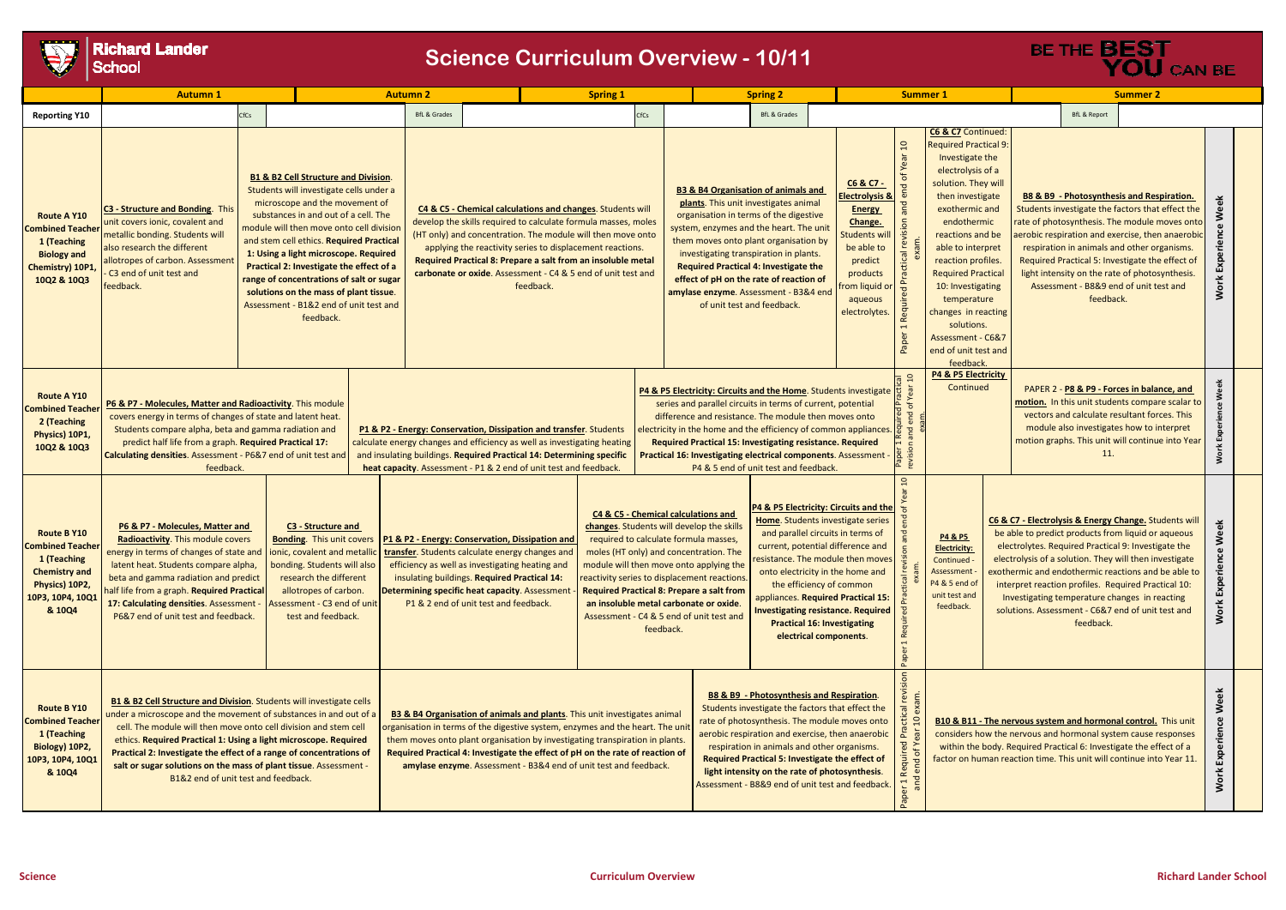**Richard Lander**<br>School

|                                                                                                                                      | <b>Autumn 1</b>                                                                                                                                                                                                                                                                                                                                                                                                                                                                 |      |                                                                                                                                                                                                                                                                                                                                                                                                                                                                                                | <b>Autumn 2</b>                                                                                                                                                                                                                                                                              |                                                                                                                                                                                                                                                                                                  |                                                                                                                                                                                                                                                                                                                                                                                                       | <b>Spring 1</b>                                                                                                                                                                                                                                                                                                                                                                                                                                                                                                                                                                                                                                                                                                                                                                                                                                                                                                                                                                                                                                                                                                                                                         |                                                                                                                                                                                                                                                                                                                                                                                                                                   |  | <b>Spring 2</b>         |                                             |                                                                                                                                                                           |                                                                   | <b>Summer 1</b>                                                                                                                                                                                                                                                                                                                                                                                       |                                                                                                                                                                                                          |                                                                                                                                                                                                                                                                                                                                                 | <b>Summer 2</b>         |                                                                                                                                                                                                                                                                                                                                                                                          |  |
|--------------------------------------------------------------------------------------------------------------------------------------|---------------------------------------------------------------------------------------------------------------------------------------------------------------------------------------------------------------------------------------------------------------------------------------------------------------------------------------------------------------------------------------------------------------------------------------------------------------------------------|------|------------------------------------------------------------------------------------------------------------------------------------------------------------------------------------------------------------------------------------------------------------------------------------------------------------------------------------------------------------------------------------------------------------------------------------------------------------------------------------------------|----------------------------------------------------------------------------------------------------------------------------------------------------------------------------------------------------------------------------------------------------------------------------------------------|--------------------------------------------------------------------------------------------------------------------------------------------------------------------------------------------------------------------------------------------------------------------------------------------------|-------------------------------------------------------------------------------------------------------------------------------------------------------------------------------------------------------------------------------------------------------------------------------------------------------------------------------------------------------------------------------------------------------|-------------------------------------------------------------------------------------------------------------------------------------------------------------------------------------------------------------------------------------------------------------------------------------------------------------------------------------------------------------------------------------------------------------------------------------------------------------------------------------------------------------------------------------------------------------------------------------------------------------------------------------------------------------------------------------------------------------------------------------------------------------------------------------------------------------------------------------------------------------------------------------------------------------------------------------------------------------------------------------------------------------------------------------------------------------------------------------------------------------------------------------------------------------------------|-----------------------------------------------------------------------------------------------------------------------------------------------------------------------------------------------------------------------------------------------------------------------------------------------------------------------------------------------------------------------------------------------------------------------------------|--|-------------------------|---------------------------------------------|---------------------------------------------------------------------------------------------------------------------------------------------------------------------------|-------------------------------------------------------------------|-------------------------------------------------------------------------------------------------------------------------------------------------------------------------------------------------------------------------------------------------------------------------------------------------------------------------------------------------------------------------------------------------------|----------------------------------------------------------------------------------------------------------------------------------------------------------------------------------------------------------|-------------------------------------------------------------------------------------------------------------------------------------------------------------------------------------------------------------------------------------------------------------------------------------------------------------------------------------------------|-------------------------|------------------------------------------------------------------------------------------------------------------------------------------------------------------------------------------------------------------------------------------------------------------------------------------------------------------------------------------------------------------------------------------|--|
| <b>Reporting Y10</b>                                                                                                                 |                                                                                                                                                                                                                                                                                                                                                                                                                                                                                 | CfCs |                                                                                                                                                                                                                                                                                                                                                                                                                                                                                                | <b>BfL &amp; Grades</b>                                                                                                                                                                                                                                                                      |                                                                                                                                                                                                                                                                                                  |                                                                                                                                                                                                                                                                                                                                                                                                       |                                                                                                                                                                                                                                                                                                                                                                                                                                                                                                                                                                                                                                                                                                                                                                                                                                                                                                                                                                                                                                                                                                                                                                         | <b>CfCs</b>                                                                                                                                                                                                                                                                                                                                                                                                                       |  | <b>BfL &amp; Grades</b> |                                             |                                                                                                                                                                           |                                                                   |                                                                                                                                                                                                                                                                                                                                                                                                       |                                                                                                                                                                                                          |                                                                                                                                                                                                                                                                                                                                                 | <b>BfL &amp; Report</b> |                                                                                                                                                                                                                                                                                                                                                                                          |  |
| <b>Route A Y10</b><br><b>Combined Teacher</b><br>1 (Teaching<br><b>Biology and</b><br>Chemistry) 10P1<br>10Q2 & 10Q3                 | C3 - Structure and Bonding. This<br>unit covers ionic, covalent and<br>metallic bonding. Students will<br>also research the different<br>allotropes of carbon. Assessment<br>C3 end of unit test and<br>feedback.                                                                                                                                                                                                                                                               |      | <b>B1 &amp; B2 Cell Structure and Division.</b><br>Students will investigate cells under a<br>microscope and the movement of<br>substances in and out of a cell. The<br>module will then move onto cell division<br>and stem cell ethics. Required Practical<br>1: Using a light microscope. Required<br>Practical 2: Investigate the effect of a<br>range of concentrations of salt or sugar<br>solutions on the mass of plant tissue.<br>Assessment - B1&2 end of unit test and<br>feedback. |                                                                                                                                                                                                                                                                                              |                                                                                                                                                                                                                                                                                                  | C4 & C5 - Chemical calculations and changes. Students will<br>develop the skills required to calculate formula masses, moles<br>(HT only) and concentration. The module will then move onto<br>applying the reactivity series to displacement reactions.<br>Required Practical 8: Prepare a salt from an insoluble metal<br>carbonate or oxide. Assessment - C4 & 5 end of unit test and<br>feedback. |                                                                                                                                                                                                                                                                                                                                                                                                                                                                                                                                                                                                                                                                                                                                                                                                                                                                                                                                                                                                                                                                                                                                                                         | <b>B3 &amp; B4 Organisation of animals and</b><br>plants. This unit investigates animal<br>organisation in terms of the digestive<br>system, enzymes and the heart. The unit<br>them moves onto plant organisation by<br>investigating transpiration in plants.<br><b>Required Practical 4: Investigate the</b><br>effect of pH on the rate of reaction of<br>amylase enzyme. Assessment - B3&4 end<br>of unit test and feedback. |  |                         |                                             | C6 & C7 -<br><b>lectrolysis &amp;</b><br><b>Energy</b><br>Change.<br><b>Students wil</b><br>be able to<br>predict<br>products<br>from liquid o<br>aqueous<br>electrolytes | $\mathbf{C}$<br>end<br>revision<br>Practical<br>Required<br>Paper | C6 & C7 Continued:<br><b>Required Practical 9:</b><br>Investigate the<br>electrolysis of a<br>solution. They will<br>then investigate<br>exothermic and<br>endothermic<br>reactions and be<br>able to interpret<br>reaction profiles.<br><b>Required Practical</b><br>10: Investigating<br>temperature<br>changes in reacting<br>solutions.<br>Assessment - C6&7<br>end of unit test and<br>feedback. |                                                                                                                                                                                                          | <b>B8 &amp; B9 - Photosynthesis and Res</b><br>Students investigate the factors that<br>rate of photosynthesis. The module r<br>erobic respiration and exercise, ther<br>respiration in animals and other or<br>Required Practical 5: Investigate the<br>light intensity on the rate of photos<br>Assessment - B8&9 end of unit to<br>feedback. |                         |                                                                                                                                                                                                                                                                                                                                                                                          |  |
| Route A Y10<br><b>Combined Teacher</b><br>2 (Teaching<br>Physics) 10P1,<br>10Q2 & 10Q3                                               | P6 & P7 - Molecules, Matter and Radioactivity. This module<br>covers energy in terms of changes of state and latent heat.<br>Students compare alpha, beta and gamma radiation and<br>predict half life from a graph. Required Practical 17:<br>Calculating densities. Assessment - P6&7 end of unit test and<br>feedback.                                                                                                                                                       |      |                                                                                                                                                                                                                                                                                                                                                                                                                                                                                                | P1 & P2 - Energy: Conservation, Dissipation and transfer. Students<br>calculate energy changes and efficiency as well as investigating heating<br>and insulating buildings. Required Practical 14: Determining specific<br>heat capacity. Assessment - P1 & 2 end of unit test and feedback. |                                                                                                                                                                                                                                                                                                  |                                                                                                                                                                                                                                                                                                                                                                                                       | P4 & P5 Electricity: Circuits and the Home. Students investigate<br>series and parallel circuits in terms of current, potential<br>difference and resistance. The module then moves onto<br>electricity in the home and the efficiency of common appliances.<br>Required Practical 15: Investigating resistance. Required<br>Practical 16: Investigating electrical components. Assessment<br>P4 & 5 end of unit test and feedback.                                                                                                                                                                                                                                                                                                                                                                                                                                                                                                                                                                                                                                                                                                                                     |                                                                                                                                                                                                                                                                                                                                                                                                                                   |  |                         | <b>P4 &amp; P5 Electricity</b><br>Continued |                                                                                                                                                                           |                                                                   |                                                                                                                                                                                                                                                                                                                                                                                                       | PAPER 2 - P8 & P9 - Forces in balar<br>motion. In this unit students compar<br>vectors and calculate resultant for<br>module also investigates how to in<br>motion graphs. This unit will continu<br>11. |                                                                                                                                                                                                                                                                                                                                                 |                         |                                                                                                                                                                                                                                                                                                                                                                                          |  |
| <b>Route B Y10</b><br><b>Combined Teacher</b><br>1 (Teaching<br><b>Chemistry and</b><br>Physics) 10P2,<br>10P3, 10P4, 10Q1<br>& 10Q4 | P6 & P7 - Molecules, Matter and<br>Radioactivity. This module covers<br>energy in terms of changes of state and<br>latent heat. Students compare alpha,<br>beta and gamma radiation and predict<br>half life from a graph. <b>Required Practica</b> l<br>17: Calculating densities. Assessment -<br>P6&7 end of unit test and feedback.                                                                                                                                         |      | C3 - Structure and<br><b>Bonding.</b> This unit covers<br>ionic, covalent and metallic<br>bonding. Students will also<br>research the different<br>allotropes of carbon.<br>Assessment - C3 end of unit<br>test and feedback.                                                                                                                                                                                                                                                                  |                                                                                                                                                                                                                                                                                              | P1 & P2 - Energy: Conservation, Dissipation and<br>transfer. Students calculate energy changes and<br>efficiency as well as investigating heating and<br>insulating buildings. Required Practical 14:<br>Determining specific heat capacity. Assessment<br>P1 & 2 end of unit test and feedback. |                                                                                                                                                                                                                                                                                                                                                                                                       | P4 & P5 Electricity: Circuits and the<br>C4 & C5 - Chemical calculations and<br>Home. Students investigate series<br>changes. Students will develop the skills<br>and parallel circuits in terms of<br>required to calculate formula masses,<br>current, potential difference and<br>moles (HT only) and concentration. The<br>resistance. The module then moves<br>module will then move onto applying the<br>onto electricity in the home and<br>reactivity series to displacement reactions.<br>the efficiency of common<br><b>Required Practical 8: Prepare a salt from</b><br>appliances. Required Practical 15:<br>an insoluble metal carbonate or oxide.<br><b>Investigating resistance. Required</b><br>Assessment - C4 & 5 end of unit test and<br><b>Practical 16: Investigating</b><br>feedback.<br>electrical components.                                                                                                                                                                                                                                                                                                                                   |                                                                                                                                                                                                                                                                                                                                                                                                                                   |  |                         |                                             |                                                                                                                                                                           |                                                                   | 'ŏ<br>P<br>$\overline{5}$<br>$\tilde{\mathbf{u}}$<br>Ε<br>Practical<br><b>Required</b><br>Paper                                                                                                                                                                                                                                                                                                       | <b>P4 &amp; P5</b><br><b>Electricity:</b><br>Continued -<br>Assessment ·<br>P4 & 5 end of<br>unit test and<br>feedback.                                                                                  |                                                                                                                                                                                                                                                                                                                                                 |                         | C6 & C7 - Electrolysis & Energy Change. Stu<br>be able to predict products from liquid or<br>electrolytes. Required Practical 9: Investig<br>electrolysis of a solution. They will then in<br>exothermic and endothermic reactions and<br>interpret reaction profiles. Required Prac<br>Investigating temperature changes in re<br>solutions. Assessment - C6&7 end of unit<br>feedback. |  |
| Route B Y10<br><b>Combined Teacher</b><br>1 (Teaching<br>Biology) 10P2,<br>10P3, 10P4, 10Q1<br>& 10Q4                                | <b>B1 &amp; B2 Cell Structure and Division.</b> Students will investigate cells<br>under a microscope and the movement of substances in and out of a<br>cell. The module will then move onto cell division and stem cell<br>ethics. Required Practical 1: Using a light microscope. Required<br>Practical 2: Investigate the effect of a range of concentrations of<br>salt or sugar solutions on the mass of plant tissue. Assessment -<br>B1&2 end of unit test and feedback. |      |                                                                                                                                                                                                                                                                                                                                                                                                                                                                                                |                                                                                                                                                                                                                                                                                              |                                                                                                                                                                                                                                                                                                  |                                                                                                                                                                                                                                                                                                                                                                                                       | ical revi<br><b>B8 &amp; B9 - Photosynthesis and Respiration.</b><br>Students investigate the factors that effect the<br><b>B3 &amp; B4 Organisation of animals and plants</b> . This unit investigates animal<br>rate of photosynthesis. The module moves onto<br>Đ<br><b>B10 &amp; B11 - The nervous system and hormonal control.</b><br>organisation in terms of the digestive system, enzymes and the heart. The unit<br>Pra<br>considers how the nervous and hormonal system cause r<br>aerobic respiration and exercise, then anaerobic<br>them moves onto plant organisation by investigating transpiration in plants.<br>Required<br>I end of Ye<br>respiration in animals and other organisms.<br>within the body. Required Practical 6: Investigate the ef<br>Required Practical 4: Investigate the effect of pH on the rate of reaction of<br><b>Required Practical 5: Investigate the effect of</b><br>factor on human reaction time. This unit will continue into<br>amylase enzyme. Assessment - B3&4 end of unit test and feedback.<br>light intensity on the rate of photosynthesis.<br>er 1<br>Assessment - B8&9 end of unit test and feedback.<br>Pap |                                                                                                                                                                                                                                                                                                                                                                                                                                   |  |                         |                                             |                                                                                                                                                                           |                                                                   |                                                                                                                                                                                                                                                                                                                                                                                                       |                                                                                                                                                                                                          |                                                                                                                                                                                                                                                                                                                                                 |                         |                                                                                                                                                                                                                                                                                                                                                                                          |  |

| <b>6 &amp; C7</b> Continued:   |                                                        |                                              |                                                                           |                             |  |  |  |  |  |  |  |
|--------------------------------|--------------------------------------------------------|----------------------------------------------|---------------------------------------------------------------------------|-----------------------------|--|--|--|--|--|--|--|
| equired Practical 9:           |                                                        |                                              |                                                                           |                             |  |  |  |  |  |  |  |
| Investigate the                |                                                        |                                              |                                                                           |                             |  |  |  |  |  |  |  |
| electrolysis of a              |                                                        |                                              |                                                                           |                             |  |  |  |  |  |  |  |
| solution. They will            |                                                        |                                              |                                                                           |                             |  |  |  |  |  |  |  |
| then investigate               |                                                        |                                              | B8 & B9 - Photosynthesis and Respiration.                                 |                             |  |  |  |  |  |  |  |
| exothermic and                 |                                                        |                                              | Students investigate the factors that effect the                          |                             |  |  |  |  |  |  |  |
| endothermic                    |                                                        |                                              | rate of photosynthesis. The module moves onto                             |                             |  |  |  |  |  |  |  |
| reactions and be               |                                                        |                                              | aerobic respiration and exercise, then anaerobic                          | Work Experience Week        |  |  |  |  |  |  |  |
| able to interpret              |                                                        |                                              | respiration in animals and other organisms.                               |                             |  |  |  |  |  |  |  |
| reaction profiles.             |                                                        |                                              | Required Practical 5: Investigate the effect of                           |                             |  |  |  |  |  |  |  |
| <b>Required Practical</b>      |                                                        |                                              | light intensity on the rate of photosynthesis.                            |                             |  |  |  |  |  |  |  |
| 10: Investigating              |                                                        |                                              | Assessment - B8&9 end of unit test and                                    |                             |  |  |  |  |  |  |  |
| temperature                    |                                                        | feedback.                                    |                                                                           |                             |  |  |  |  |  |  |  |
| hanges in reacting             |                                                        |                                              |                                                                           |                             |  |  |  |  |  |  |  |
| solutions.                     |                                                        |                                              |                                                                           |                             |  |  |  |  |  |  |  |
| <b>Assessment - C6&amp;7</b>   |                                                        |                                              |                                                                           |                             |  |  |  |  |  |  |  |
| nd of unit test and            |                                                        |                                              |                                                                           |                             |  |  |  |  |  |  |  |
| feedback.                      |                                                        |                                              |                                                                           |                             |  |  |  |  |  |  |  |
| <b>P4 &amp; P5 Electricity</b> |                                                        |                                              |                                                                           |                             |  |  |  |  |  |  |  |
| Continued                      |                                                        |                                              | PAPER 2 - P8 & P9 - Forces in balance, and                                |                             |  |  |  |  |  |  |  |
|                                |                                                        |                                              | motion. In this unit students compare scalar to                           |                             |  |  |  |  |  |  |  |
|                                |                                                        | vectors and calculate resultant forces. This |                                                                           |                             |  |  |  |  |  |  |  |
|                                | module also investigates how to interpret              |                                              |                                                                           |                             |  |  |  |  |  |  |  |
|                                | motion graphs. This unit will continue into Year       |                                              |                                                                           |                             |  |  |  |  |  |  |  |
|                                |                                                        | 11.                                          |                                                                           | Work Experience Week        |  |  |  |  |  |  |  |
|                                |                                                        |                                              |                                                                           |                             |  |  |  |  |  |  |  |
|                                |                                                        |                                              |                                                                           |                             |  |  |  |  |  |  |  |
|                                |                                                        |                                              |                                                                           |                             |  |  |  |  |  |  |  |
|                                |                                                        |                                              |                                                                           |                             |  |  |  |  |  |  |  |
|                                |                                                        |                                              | C6 & C7 - Electrolysis & Energy Change. Students will                     |                             |  |  |  |  |  |  |  |
| <b>P4 &amp; P5</b>             | be able to predict products from liquid or aqueous     | k Experience Week                            |                                                                           |                             |  |  |  |  |  |  |  |
| <b>Electricity:</b>            | electrolytes. Required Practical 9: Investigate the    |                                              |                                                                           |                             |  |  |  |  |  |  |  |
| Continued -                    | electrolysis of a solution. They will then investigate |                                              |                                                                           |                             |  |  |  |  |  |  |  |
| <b>Assessment -</b>            |                                                        |                                              | exothermic and endothermic reactions and be able to                       |                             |  |  |  |  |  |  |  |
| 4 & 5 end of                   |                                                        |                                              | interpret reaction profiles. Required Practical 10:                       |                             |  |  |  |  |  |  |  |
| unit test and<br>feedback.     |                                                        |                                              | Investigating temperature changes in reacting                             |                             |  |  |  |  |  |  |  |
|                                |                                                        |                                              | solutions. Assessment - C6&7 end of unit test and                         | Worl                        |  |  |  |  |  |  |  |
|                                |                                                        | feedback.                                    |                                                                           |                             |  |  |  |  |  |  |  |
|                                |                                                        |                                              |                                                                           |                             |  |  |  |  |  |  |  |
|                                |                                                        |                                              |                                                                           |                             |  |  |  |  |  |  |  |
|                                |                                                        |                                              |                                                                           |                             |  |  |  |  |  |  |  |
|                                |                                                        |                                              |                                                                           |                             |  |  |  |  |  |  |  |
|                                |                                                        |                                              |                                                                           |                             |  |  |  |  |  |  |  |
|                                |                                                        |                                              |                                                                           |                             |  |  |  |  |  |  |  |
|                                |                                                        |                                              | <b>B10 &amp; B11 - The nervous system and hormonal control.</b> This unit |                             |  |  |  |  |  |  |  |
|                                |                                                        |                                              | considers how the nervous and hormonal system cause responses             |                             |  |  |  |  |  |  |  |
|                                |                                                        |                                              | within the body. Required Practical 6: Investigate the effect of a        |                             |  |  |  |  |  |  |  |
|                                |                                                        |                                              | factor on human reaction time. This unit will continue into Year 11.      |                             |  |  |  |  |  |  |  |
|                                |                                                        |                                              |                                                                           | <b>Work Experience Week</b> |  |  |  |  |  |  |  |
|                                |                                                        |                                              |                                                                           |                             |  |  |  |  |  |  |  |
|                                |                                                        |                                              |                                                                           |                             |  |  |  |  |  |  |  |

## **Science Curriculum Overview - 10/11**

## BE THE **BEST**<br>YOU CAN BE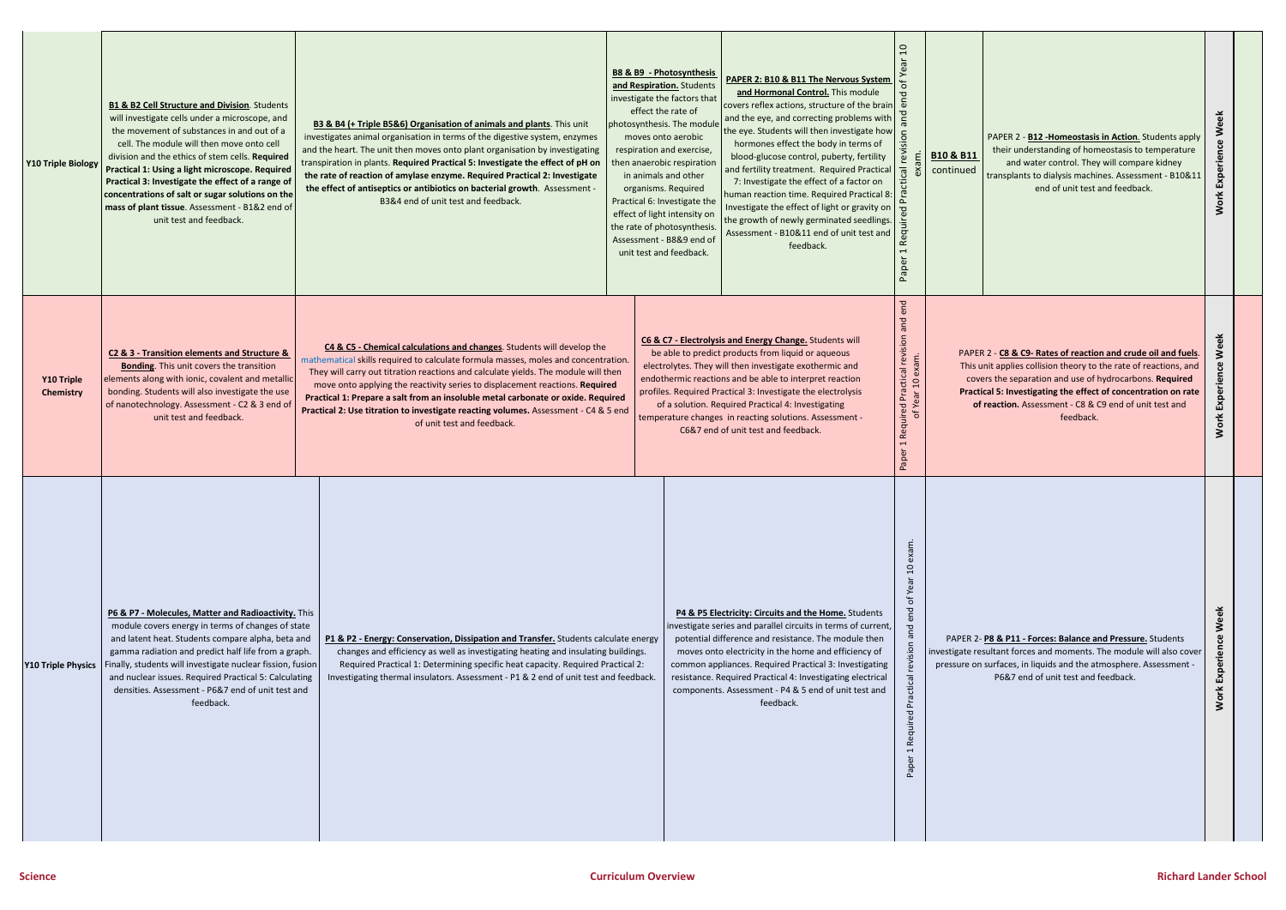

| Y10 Triple Biology             | B1 & B2 Cell Structure and Division. Students<br>will investigate cells under a microscope, and<br>the movement of substances in and out of a<br>cell. The module will then move onto cell<br>division and the ethics of stem cells. Required<br>Practical 1: Using a light microscope. Required<br>Practical 3: Investigate the effect of a range of<br>concentrations of salt or sugar solutions on the<br>mass of plant tissue. Assessment - B1&2 end of<br>unit test and feedback. | B3 & B4 (+ Triple B5&6) Organisation of animals and plants. This unit<br>investigates animal organisation in terms of the digestive system, enzymes<br>and the heart. The unit then moves onto plant organisation by investigating<br>transpiration in plants. Required Practical 5: Investigate the effect of pH on<br>the rate of reaction of amylase enzyme. Required Practical 2: Investigate<br>the effect of antiseptics or antibiotics on bacterial growth. Assessment -<br>B3&4 end of unit test and feedback.                      | <b>B8 &amp; B9 - Photosynthesis</b><br>PAPER 2: B10 & B11 The Nervous System<br>and Respiration. Students<br>and Hormonal Control. This module<br>investigate the factors that<br>covers reflex actions, structure of the brain<br>effect the rate of<br>and the eye, and correcting problems with<br>photosynthesis. The module<br>the eye. Students will then investigate how<br>moves onto aerobic<br>hormones effect the body in terms of<br>respiration and exercise,<br>blood-glucose control, puberty, fertility<br>then anaerobic respiration<br>and fertility treatment. Required Practical<br>in animals and other<br>7: Investigate the effect of a factor on<br>organisms. Required<br>human reaction time. Required Practical 8:<br>Practical 6: Investigate the<br>Investigate the effect of light or gravity on<br>effect of light intensity on<br>the growth of newly germinated seedlings.<br>the rate of photosynthesis.<br>Assessment - B10&11 end of unit test and<br>Assessment - B8&9 end of<br>feedback.<br>unit test and feedback. | $\Omega$<br>$\epsilon$<br>nois<br>$\overline{e}$<br>exam<br>$\overline{5}$<br>Practi<br>5g<br>Require<br>aper          | <b>B10 &amp; B11</b><br>continued                   |
|--------------------------------|----------------------------------------------------------------------------------------------------------------------------------------------------------------------------------------------------------------------------------------------------------------------------------------------------------------------------------------------------------------------------------------------------------------------------------------------------------------------------------------|---------------------------------------------------------------------------------------------------------------------------------------------------------------------------------------------------------------------------------------------------------------------------------------------------------------------------------------------------------------------------------------------------------------------------------------------------------------------------------------------------------------------------------------------|------------------------------------------------------------------------------------------------------------------------------------------------------------------------------------------------------------------------------------------------------------------------------------------------------------------------------------------------------------------------------------------------------------------------------------------------------------------------------------------------------------------------------------------------------------------------------------------------------------------------------------------------------------------------------------------------------------------------------------------------------------------------------------------------------------------------------------------------------------------------------------------------------------------------------------------------------------------------------------------------------------------------------------------------------------|------------------------------------------------------------------------------------------------------------------------|-----------------------------------------------------|
| Y10 Triple<br><b>Chemistry</b> | C2 & 3 - Transition elements and Structure &<br><b>Bonding.</b> This unit covers the transition<br>elements along with ionic, covalent and metallic<br>bonding. Students will also investigate the use<br>of nanotechnology. Assessment - C2 & 3 end of<br>unit test and feedback.                                                                                                                                                                                                     | C4 & C5 - Chemical calculations and changes. Students will develop the<br>mathematical skills required to calculate formula masses, moles and concentration.<br>They will carry out titration reactions and calculate yields. The module will then<br>move onto applying the reactivity series to displacement reactions. Required<br>Practical 1: Prepare a salt from an insoluble metal carbonate or oxide. Required<br>Practical 2: Use titration to investigate reacting volumes. Assessment - C4 & 5 end<br>of unit test and feedback. | C6 & C7 - Electrolysis and Energy Change. Students will<br>be able to predict products from liquid or aqueous<br>electrolytes. They will then investigate exothermic and<br>endothermic reactions and be able to interpret reaction<br>profiles. Required Practical 3: Investigate the electrolysis<br>of a solution. Required Practical 4: Investigating<br>temperature changes in reacting solutions. Assessment -<br>C6&7 end of unit test and feedback.                                                                                                                                                                                                                                                                                                                                                                                                                                                                                                                                                                                                | end<br>and<br>revision<br>exam.<br>ed Practical r<br>FYear 10 exa<br>Required<br>ð<br>$\overline{\phantom{0}}$<br>aper | <b>PAPE</b><br>This<br>cov<br>Pract<br>$\mathbf{o}$ |
| Y10 Triple Physics             | P6 & P7 - Molecules, Matter and Radioactivity. This<br>module covers energy in terms of changes of state<br>and latent heat. Students compare alpha, beta and<br>gamma radiation and predict half life from a graph.<br>Finally, students will investigate nuclear fission, fusion<br>and nuclear issues. Required Practical 5: Calculating<br>densities. Assessment - P6&7 end of unit test and<br>feedback.                                                                          | P1 & P2 - Energy: Conservation, Dissipation and Transfer. Students calculate energy<br>changes and efficiency as well as investigating heating and insulating buildings.<br>Required Practical 1: Determining specific heat capacity. Required Practical 2:<br>Investigating thermal insulators. Assessment - P1 & 2 end of unit test and feedback.                                                                                                                                                                                         | P4 & P5 Electricity: Circuits and the Home. Students<br>investigate series and parallel circuits in terms of current,<br>potential difference and resistance. The module then<br>moves onto electricity in the home and efficiency of<br>common appliances. Required Practical 3: Investigating<br>resistance. Required Practical 4: Investigating electrical<br>components. Assessment - P4 & 5 end of unit test and<br>feedback.                                                                                                                                                                                                                                                                                                                                                                                                                                                                                                                                                                                                                         | end of Year 10 exam.<br>Paper 1 Required Practical revision and                                                        | PAPER <sub>2</sub><br>investigate re<br>pressure or |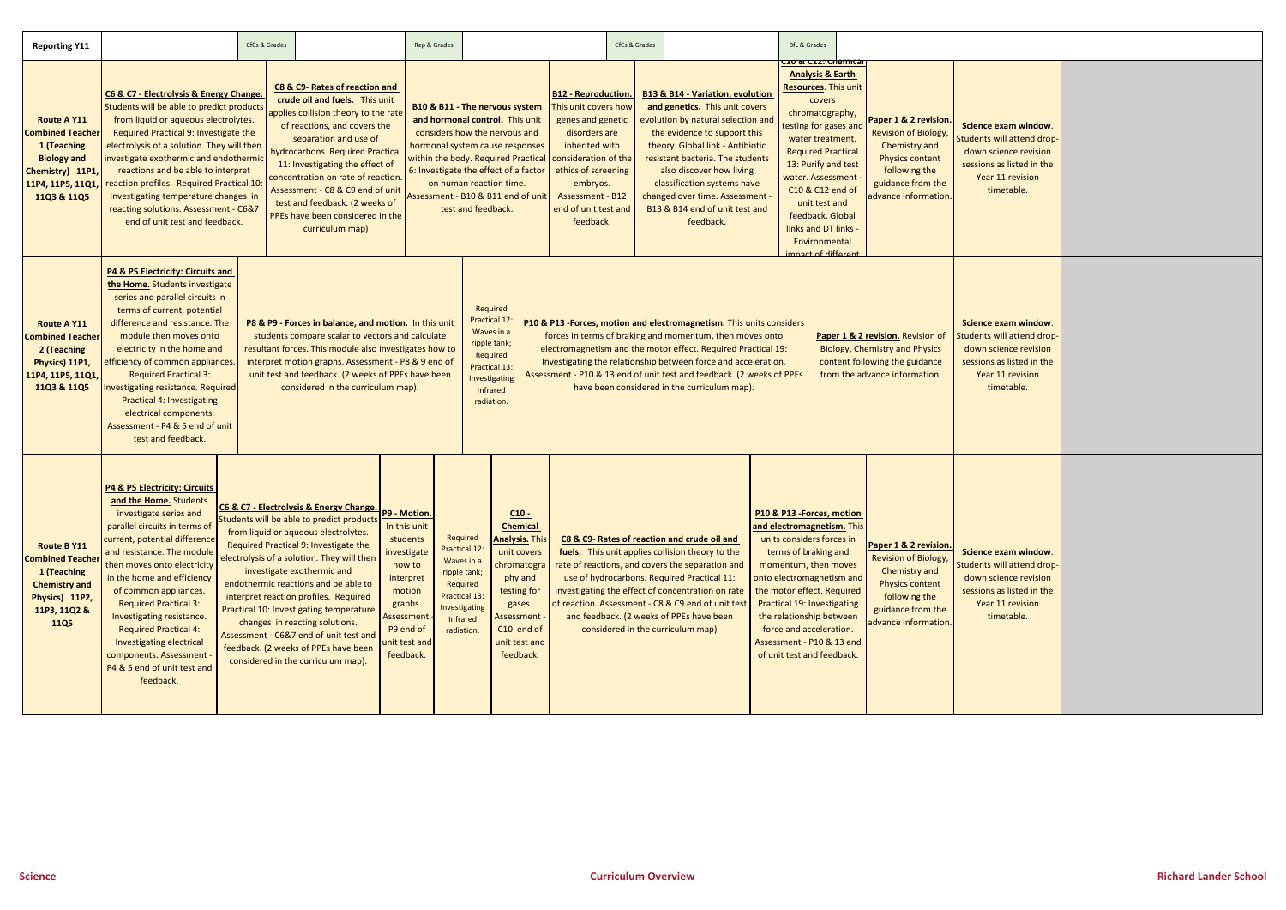| <b>Reporting Y11</b>                                                                                                                      |                                                                                                                                                                                                                                                                                                                                                                                                                                                                                                                                                                                                                                                                                                                                                                                                                                                                                                                                                                                                                                  | CfCs & Grades |                                                                                                                                                                                                                                                                                                                                                                                                            |                                                                                                                                        | Rep & Grades                                                                                                                                                                                                                                                                                                            |                                                                                                                                                                                                                                                                                                                                                                                                                                                                                                                                 |  |                                                                                                                                                                                                                                | CfCs & Grades                     |                                                                                                                                                                                                                                                                                                                                                                          |                                                                                                                                                  |                                                                                                                                                                                                      | <b>BfL &amp; Grades</b>                                                                                                                                                                                                                                                                                                                                      |                                                                                                                                                               |                                                                                                                                                               |                                    |
|-------------------------------------------------------------------------------------------------------------------------------------------|----------------------------------------------------------------------------------------------------------------------------------------------------------------------------------------------------------------------------------------------------------------------------------------------------------------------------------------------------------------------------------------------------------------------------------------------------------------------------------------------------------------------------------------------------------------------------------------------------------------------------------------------------------------------------------------------------------------------------------------------------------------------------------------------------------------------------------------------------------------------------------------------------------------------------------------------------------------------------------------------------------------------------------|---------------|------------------------------------------------------------------------------------------------------------------------------------------------------------------------------------------------------------------------------------------------------------------------------------------------------------------------------------------------------------------------------------------------------------|----------------------------------------------------------------------------------------------------------------------------------------|-------------------------------------------------------------------------------------------------------------------------------------------------------------------------------------------------------------------------------------------------------------------------------------------------------------------------|---------------------------------------------------------------------------------------------------------------------------------------------------------------------------------------------------------------------------------------------------------------------------------------------------------------------------------------------------------------------------------------------------------------------------------------------------------------------------------------------------------------------------------|--|--------------------------------------------------------------------------------------------------------------------------------------------------------------------------------------------------------------------------------|-----------------------------------|--------------------------------------------------------------------------------------------------------------------------------------------------------------------------------------------------------------------------------------------------------------------------------------------------------------------------------------------------------------------------|--------------------------------------------------------------------------------------------------------------------------------------------------|------------------------------------------------------------------------------------------------------------------------------------------------------------------------------------------------------|--------------------------------------------------------------------------------------------------------------------------------------------------------------------------------------------------------------------------------------------------------------------------------------------------------------------------------------------------------------|---------------------------------------------------------------------------------------------------------------------------------------------------------------|---------------------------------------------------------------------------------------------------------------------------------------------------------------|------------------------------------|
| <b>Route A Y11</b><br><b>Combined Teacher</b><br>1 (Teaching<br><b>Biology and</b><br>Chemistry) 11P1,<br>11P4, 11P5, 11Q1<br>11Q3 & 11Q5 | C6 & C7 - Electrolysis & Energy Change.<br>Students will be able to predict products<br>from liquid or aqueous electrolytes.<br>Required Practical 9: Investigate the<br>electrolysis of a solution. They will then<br>investigate exothermic and endothermic<br>reactions and be able to interpret<br>reaction profiles. Required Practical 10:<br>Investigating temperature changes in<br>reacting solutions. Assessment - C6&7<br>end of unit test and feedback.                                                                                                                                                                                                                                                                                                                                                                                                                                                                                                                                                              |               | C8 & C9- Rates of reaction and<br>crude oil and fuels. This unit<br>applies collision theory to the rate<br>of reactions, and covers the<br>separation and use of<br>hydrocarbons. Required Practical<br>11: Investigating the effect of<br>concentration on rate of reaction<br>Assessment - C8 & C9 end of unit<br>test and feedback. (2 weeks of<br>PPEs have been considered in the<br>curriculum map) |                                                                                                                                        | <b>B10 &amp; B11 - The nervous system</b><br>and hormonal control. This unit<br>considers how the nervous and<br>hormonal system cause responses<br>within the body. Required Practical<br>6: Investigate the effect of a factor<br>on human reaction time.<br>Assessment - B10 & B11 end of unit<br>test and feedback. |                                                                                                                                                                                                                                                                                                                                                                                                                                                                                                                                 |  | <b>B12 - Reproduction.</b><br>This unit covers how<br>genes and genetic<br>disorders are<br>inherited with<br>consideration of the<br>ethics of screening<br>embryos.<br>Assessment - B12<br>end of unit test and<br>feedback. |                                   | <b>B13 &amp; B14 - Variation, evolution</b><br>and genetics. This unit covers<br>evolution by natural selection and<br>the evidence to support this<br>theory. Global link - Antibiotic<br>resistant bacteria. The students<br>also discover how living<br>classification systems have<br>changed over time. Assessment -<br>B13 & B14 end of unit test and<br>feedback. |                                                                                                                                                  |                                                                                                                                                                                                      | .10 & C12: Chemical<br><b>Analysis &amp; Earth</b><br><b>Resources. This unit</b><br>covers<br>chromatography,<br>testing for gases and<br>water treatment.<br><b>Required Practical</b><br>13: Purify and test<br>water. Assessment<br>C10 & C12 end of<br>unit test and<br>feedback. Global<br>links and DT links -<br>Environmental<br>mnact of different |                                                                                                                                                               | Paper 1 & 2 revision.<br><b>Revision of Biology,</b><br>Chemistry and<br><b>Physics content</b><br>following the<br>guidance from the<br>advance information. | S <sub>0</sub><br><b>Stu</b><br>se |
| <b>Route A Y11</b><br><b>Combined Teacher</b><br>2 (Teaching<br>Physics) 11P1,<br>11P4, 11P5, 11Q1,<br>11Q3 & 11Q5                        | <b>P4 &amp; P5 Electricity: Circuits and</b><br>the Home. Students investigate<br>series and parallel circuits in<br>terms of current, potential<br>difference and resistance. The<br>P8 & P9 - Forces in balance, and motion. In this unit<br>module then moves onto<br>students compare scalar to vectors and calculate<br>resultant forces. This module also investigates how to<br>electricity in the home and<br>efficiency of common appliances.<br>interpret motion graphs. Assessment - P8 & 9 end of<br>unit test and feedback. (2 weeks of PPEs have been<br><b>Required Practical 3:</b><br><b>Investigating resistance. Required</b><br>considered in the curriculum map).<br><b>Practical 4: Investigating</b><br>electrical components.<br>Assessment - P4 & 5 end of unit<br>test and feedback.                                                                                                                                                                                                                   |               |                                                                                                                                                                                                                                                                                                                                                                                                            |                                                                                                                                        |                                                                                                                                                                                                                                                                                                                         | Required<br>Practical 12:<br>P10 & P13 -Forces, motion and electromagnetism. This units considers<br>Waves in a<br>forces in terms of braking and momentum, then moves onto<br>ripple tank;<br>electromagnetism and the motor effect. Required Practical 19:<br>Required<br>Investigating the relationship between force and acceleration.<br>Practical 13:<br>Assessment - P10 & 13 end of unit test and feedback. (2 weeks of PPEs<br>Investigating<br>have been considered in the curriculum map).<br>Infrared<br>radiation. |  |                                                                                                                                                                                                                                |                                   |                                                                                                                                                                                                                                                                                                                                                                          | Paper 1 & 2 revision. Revision of<br><b>Biology, Chemistry and Physics</b><br>content following the guidance<br>from the advance information.    | <sub>S</sub><br><b>Stu</b>                                                                                                                                                                           |                                                                                                                                                                                                                                                                                                                                                              |                                                                                                                                                               |                                                                                                                                                               |                                    |
| <b>Route B Y11</b><br><b>Combined Teacher</b><br>1 (Teaching<br><b>Chemistry and</b><br>Physics) 11P2,<br>11P3, 11Q2 &<br><b>11Q5</b>     | P4 & P5 Electricity: Circuits<br>and the Home. Students<br>C6 & C7 - Electrolysis & Energy Change. P9 - Motion.<br>investigate series and<br>Students will be able to predict products<br>parallel circuits in terms of<br>from liquid or aqueous electrolytes.<br>current, potential difference<br>Required Practical 9: Investigate the<br>and resistance. The module<br>electrolysis of a solution. They will then<br>then moves onto electricity<br>investigate exothermic and<br>in the home and efficiency<br>endothermic reactions and be able to<br>of common appliances.<br>interpret reaction profiles. Required<br><b>Required Practical 3:</b><br>Practical 10: Investigating temperature<br>Investigating resistance.<br>changes in reacting solutions.<br><b>Required Practical 4:</b><br>Assessment - C6&7 end of unit test and<br>Investigating electrical<br>feedback. (2 weeks of PPEs have been<br>components. Assessment -<br>considered in the curriculum map).<br>P4 & 5 end of unit test and<br>feedback. |               | In this unit<br>students<br>investigate<br>how to<br>interpret<br>motion<br>graphs.<br>Assessment<br>P9 end of<br>unit test and<br>feedback.                                                                                                                                                                                                                                                               | Required<br>Practical 12:<br>Waves in a<br>ripple tank;<br>Required<br>Practical 13:<br>Investigating<br><b>Infrared</b><br>radiation. |                                                                                                                                                                                                                                                                                                                         | $C10 -$<br><b>Chemical</b><br><b>Analysis. This</b><br>unit covers<br>chromatogra<br>phy and<br>testing for<br>gases.<br>Assessment -<br>C10 end of<br>unit test and<br>feedback.                                                                                                                                                                                                                                                                                                                                               |  |                                                                                                                                                                                                                                | considered in the curriculum map) | C8 & C9- Rates of reaction and crude oil and<br>fuels. This unit applies collision theory to the<br>rate of reactions, and covers the separation and<br>use of hydrocarbons. Required Practical 11:<br>Investigating the effect of concentration on rate<br>of reaction. Assessment - C8 & C9 end of unit test<br>and feedback. (2 weeks of PPEs have been               | P10 & P13 - Forces, motion<br>and electromagnetism. This<br>onto electromagnetism and<br>the motor effect. Required<br>Assessment - P10 & 13 end | units considers forces in<br>terms of braking and<br>momentum, then moves<br><b>Practical 19: Investigating</b><br>the relationship between<br>force and acceleration.<br>of unit test and feedback. |                                                                                                                                                                                                                                                                                                                                                              | Paper 1 & 2 revision.<br><b>Revision of Biology,</b><br>Chemistry and<br><b>Physics content</b><br>following the<br>guidance from the<br>advance information. | <b>Stu</b><br>$s\epsilon$                                                                                                                                     |                                    |

| Science exam window.<br>Students will attend drop-<br>down science revision<br>sessions as listed in the<br>Year 11 revision<br>timetable. |  |
|--------------------------------------------------------------------------------------------------------------------------------------------|--|
| Science exam window.<br>Students will attend drop-<br>down science revision<br>sessions as listed in the<br>Year 11 revision<br>timetable. |  |
| Science exam window.<br>Students will attend drop-<br>down science revision<br>sessions as listed in the<br>Year 11 revision<br>timetable. |  |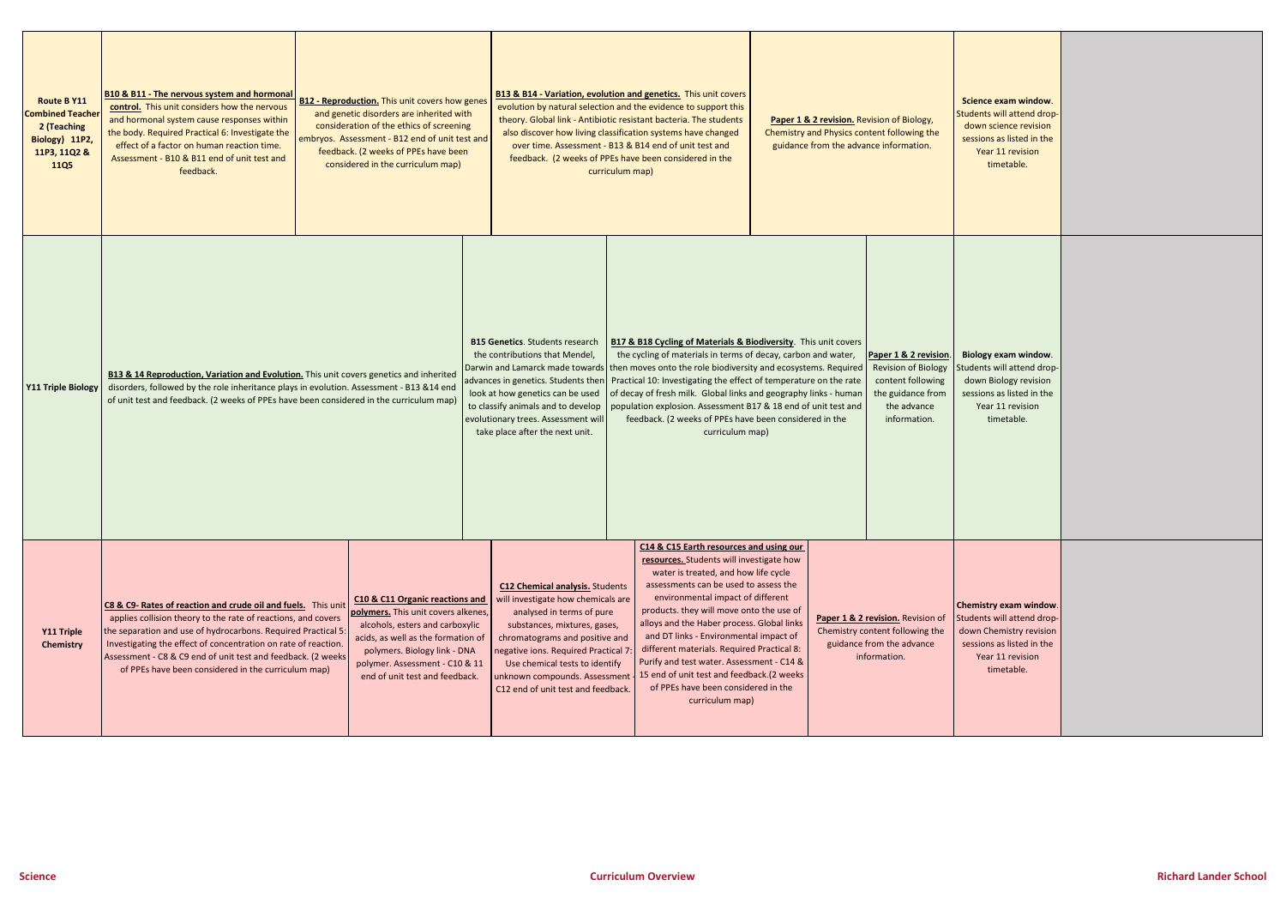| <b>Route B Y11</b><br><b>Combined Teacher</b><br>2 (Teaching<br>Biology) 11P2,<br>11P3, 11Q2 &<br><b>11Q5</b> | <b>B10 &amp; B11 - The nervous system and hormonal</b><br><b>B12 - Reproduction.</b> This unit covers how genes<br>control. This unit considers how the nervous<br>and genetic disorders are inherited with<br>and hormonal system cause responses within<br>consideration of the ethics of screening<br>the body. Required Practical 6: Investigate the<br>embryos. Assessment - B12 end of unit test and<br>effect of a factor on human reaction time.<br>feedback. (2 weeks of PPEs have been<br>Assessment - B10 & B11 end of unit test and<br>considered in the curriculum map)<br>feedback. |  |                                                                                                                                                                                                                                                     |  |                                                                                                                                                                                                                                                                                                                             | curriculum map) | <b>B13 &amp; B14 - Variation, evolution and genetics.</b> This unit covers<br>evolution by natural selection and the evidence to support this<br>theory. Global link - Antibiotic resistant bacteria. The students<br>also discover how living classification systems have changed<br>over time. Assessment - B13 & B14 end of unit test and<br>feedback. (2 weeks of PPEs have been considered in the                                                                                                                                          | Paper 1 & 2 revision. Revision of Biology,<br>Chemistry and Physics content following the<br>guidance from the advance information. |  |                                                                                                                              |                                |
|---------------------------------------------------------------------------------------------------------------|---------------------------------------------------------------------------------------------------------------------------------------------------------------------------------------------------------------------------------------------------------------------------------------------------------------------------------------------------------------------------------------------------------------------------------------------------------------------------------------------------------------------------------------------------------------------------------------------------|--|-----------------------------------------------------------------------------------------------------------------------------------------------------------------------------------------------------------------------------------------------------|--|-----------------------------------------------------------------------------------------------------------------------------------------------------------------------------------------------------------------------------------------------------------------------------------------------------------------------------|-----------------|-------------------------------------------------------------------------------------------------------------------------------------------------------------------------------------------------------------------------------------------------------------------------------------------------------------------------------------------------------------------------------------------------------------------------------------------------------------------------------------------------------------------------------------------------|-------------------------------------------------------------------------------------------------------------------------------------|--|------------------------------------------------------------------------------------------------------------------------------|--------------------------------|
| <b>Y11 Triple Biology</b>                                                                                     | <b>B13 &amp; 14 Reproduction, Variation and Evolution.</b> This unit covers genetics and inherited<br>disorders, followed by the role inheritance plays in evolution. Assessment - B13 &14 end<br>of unit test and feedback. (2 weeks of PPEs have been considered in the curriculum map)                                                                                                                                                                                                                                                                                                         |  |                                                                                                                                                                                                                                                     |  | <b>B15 Genetics</b> . Students research<br>the contributions that Mendel,<br>advances in genetics. Students then<br>look at how genetics can be used<br>to classify animals and to develop<br>evolutionary trees. Assessment will<br>take place after the next unit.                                                        |                 | <b>B17 &amp; B18 Cycling of Materials &amp; Biodiversity.</b> This unit covers<br>the cycling of materials in terms of decay, carbon and water,<br>Darwin and Lamarck made towards then moves onto the role biodiversity and ecosystems. Required<br>Practical 10: Investigating the effect of temperature on the rate<br>of decay of fresh milk. Global links and geography links - human<br>population explosion. Assessment B17 & 18 end of unit test and<br>feedback. (2 weeks of PPEs have been considered in the<br>curriculum map)       |                                                                                                                                     |  | Paper 1 & 2 revision.<br><b>Revision of Biology</b><br>content following<br>the guidance from<br>the advance<br>information. | Bi<br>Stud<br>se               |
| Y11 Triple<br>Chemistry                                                                                       | C8 & C9- Rates of reaction and crude oil and fuels. This unit<br>applies collision theory to the rate of reactions, and covers<br>the separation and use of hydrocarbons. Required Practical 5:<br>Investigating the effect of concentration on rate of reaction.<br>Assessment - C8 & C9 end of unit test and feedback. (2 weeks<br>of PPEs have been considered in the curriculum map)                                                                                                                                                                                                          |  | C10 & C11 Organic reactions and<br>polymers. This unit covers alkenes,<br>alcohols, esters and carboxylic<br>acids, as well as the formation of<br>polymers. Biology link - DNA<br>polymer. Assessment - C10 & 11<br>end of unit test and feedback. |  | <b>C12 Chemical analysis.</b> Students<br>will investigate how chemicals are<br>analysed in terms of pure<br>substances, mixtures, gases,<br>chromatograms and positive and<br>negative ions. Required Practical 7<br>Use chemical tests to identify<br>unknown compounds. Assessment<br>C12 end of unit test and feedback. |                 | C14 & C15 Earth resources and using our<br>resources. Students will investigate how<br>water is treated, and how life cycle<br>assessments can be used to assess the<br>environmental impact of different<br>products. they will move onto the use of<br>alloys and the Haber process. Global links<br>and DT links - Environmental impact of<br>different materials. Required Practical 8:<br>Purify and test water. Assessment - C14 &<br>15 end of unit test and feedback.(2 weeks<br>of PPEs have been considered in the<br>curriculum map) |                                                                                                                                     |  | Paper 1 & 2 revision. Revision of<br>Chemistry content following the<br>guidance from the advance<br>information.            | Che<br><b>Stud</b><br>do<br>se |

| Science exam window.<br>Students will attend drop-<br>down science revision<br>sessions as listed in the<br>Year 11 revision<br>timetable.            |  |
|-------------------------------------------------------------------------------------------------------------------------------------------------------|--|
| Biology exam window.<br>Students will attend drop-<br>down Biology revision<br>sessions as listed in the<br>Year 11 revision<br>timetable.            |  |
| <b>Chemistry exam window.</b><br>Students will attend drop-<br>down Chemistry revision<br>sessions as listed in the<br>Year 11 revision<br>timetable. |  |

т

Г